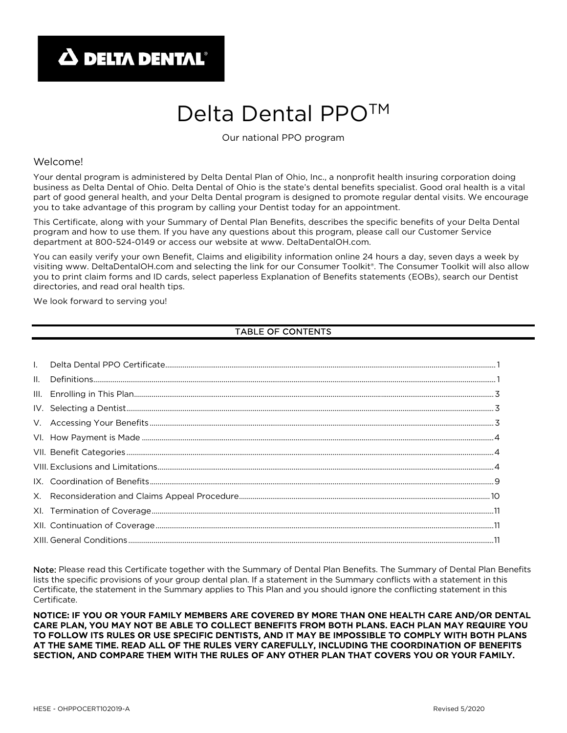# Delta Dental PPO<sup>™</sup>

Our national PPO program

#### Welcome!

Your dental program is administered by Delta Dental Plan of Ohio, Inc., a nonprofit health insuring corporation doing business as Delta Dental of Ohio. Delta Dental of Ohio is the state's dental benefits specialist. Good oral health is a vital part of good general health, and your Delta Dental program is designed to promote regular dental visits. We encourage you to take advantage of this program by calling your Dentist today for an appointment.

This Certificate, along with your Summary of Dental Plan Benefits, describes the specific benefits of your Delta Dental program and how to use them. If you have any questions about this program, please call our Customer Service department at 800-524-0149 or access our website at www. DeltaDentalOH.com.

You can easily verify your own Benefit, Claims and eligibility information online 24 hours a day, seven days a week by visiting www. DeltaDentalOH.com and selecting the link for our Consumer Toolkit®. The Consumer Toolkit will also allow you to print claim forms and ID cards, select paperless Explanation of Benefits statements (EOBs), search our Dentist directories, and read oral health tips.

We look forward to serving you!

# TABLE OF CONTENTS

| $\mathbf{H}_{\mathbf{r}}$ | $\label{eq:1} \textsf{Definitions}.\textcolor{red}{\textbf{\texttt{min}}}\textcolor{red}{\textbf{\texttt{min}}}\textcolor{red}{\textbf{\texttt{min}}}\textcolor{red}{\textbf{\texttt{min}}}\textcolor{red}{\textbf{\texttt{min}}}\textcolor{red}{\textbf{\texttt{min}}}\textcolor{red}{\textbf{\texttt{min}}}\textcolor{red}{\textbf{\texttt{min}}}\textcolor{red}{\textbf{\texttt{min}}}\textcolor{red}{\textbf{\texttt{min}}}\textcolor{red}{\textbf{\texttt{min}}}\textcolor{red}{\textbf{\texttt{min}}}\textcolor{red}{\textbf{\texttt{min}}}\textcolor{red}{\textbf{\text$ |
|---------------------------|---------------------------------------------------------------------------------------------------------------------------------------------------------------------------------------------------------------------------------------------------------------------------------------------------------------------------------------------------------------------------------------------------------------------------------------------------------------------------------------------------------------------------------------------------------------------------------|
|                           |                                                                                                                                                                                                                                                                                                                                                                                                                                                                                                                                                                                 |
|                           |                                                                                                                                                                                                                                                                                                                                                                                                                                                                                                                                                                                 |
|                           |                                                                                                                                                                                                                                                                                                                                                                                                                                                                                                                                                                                 |
|                           |                                                                                                                                                                                                                                                                                                                                                                                                                                                                                                                                                                                 |
|                           |                                                                                                                                                                                                                                                                                                                                                                                                                                                                                                                                                                                 |
|                           |                                                                                                                                                                                                                                                                                                                                                                                                                                                                                                                                                                                 |
|                           |                                                                                                                                                                                                                                                                                                                                                                                                                                                                                                                                                                                 |
|                           |                                                                                                                                                                                                                                                                                                                                                                                                                                                                                                                                                                                 |
|                           |                                                                                                                                                                                                                                                                                                                                                                                                                                                                                                                                                                                 |
|                           |                                                                                                                                                                                                                                                                                                                                                                                                                                                                                                                                                                                 |
|                           |                                                                                                                                                                                                                                                                                                                                                                                                                                                                                                                                                                                 |

Note: Please read this Certificate together with the Summary of Dental Plan Benefits. The Summary of Dental Plan Benefits lists the specific provisions of your group dental plan. If a statement in the Summary conflicts with a statement in this Certificate, the statement in the Summary applies to This Plan and you should ignore the conflicting statement in this Certificate.

NOTICE: IF YOU OR YOUR FAMILY MEMBERS ARE COVERED BY MORE THAN ONE HEALTH CARE AND/OR DENTAL CARE PLAN, YOU MAY NOT BE ABLE TO COLLECT BENEFITS FROM BOTH PLANS. EACH PLAN MAY REQUIRE YOU TO FOLLOW ITS RULES OR USE SPECIFIC DENTISTS, AND IT MAY BE IMPOSSIBLE TO COMPLY WITH BOTH PLANS AT THE SAME TIME. READ ALL OF THE RULES VERY CAREFULLY, INCLUDING THE COORDINATION OF BENEFITS SECTION, AND COMPARE THEM WITH THE RULES OF ANY OTHER PLAN THAT COVERS YOU OR YOUR FAMILY.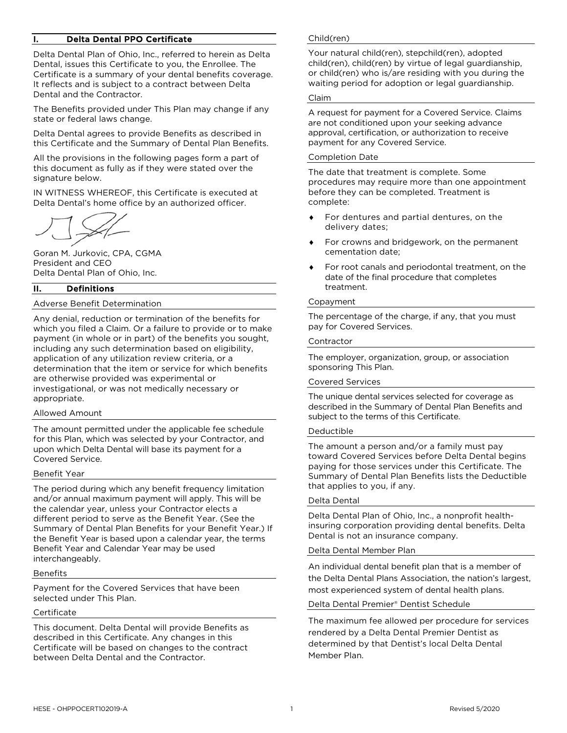## Delta Dental PPO Certificate

Delta Dental Plan of Ohio, Inc., referred to herein as Delta Dental, issues this Certificate to you, the Enrollee. The Certificate is a summary of your dental benefits coverage. It reflects and is subject to a contract between Delta Dental and the Contractor.

The Benefits provided under This Plan may change if any state or federal laws change.

Delta Dental agrees to provide Benefits as described in this Certificate and the Summary of Dental Plan Benefits.

All the provisions in the following pages form a part of this document as fully as if they were stated over the signature below.

IN WITNESS WHEREOF, this Certificate is executed at Delta Dental's home office by an authorized officer.

Goran M. Jurkovic, CPA, CGMA President and CEO Delta Dental Plan of Ohio, Inc.

## II. Definitions

#### Adverse Benefit Determination

Any denial, reduction or termination of the benefits for which you filed a Claim. Or a failure to provide or to make payment (in whole or in part) of the benefits you sought, including any such determination based on eligibility, application of any utilization review criteria, or a determination that the item or service for which benefits are otherwise provided was experimental or investigational, or was not medically necessary or appropriate.

#### Allowed Amount

The amount permitted under the applicable fee schedule for this Plan, which was selected by your Contractor, and upon which Delta Dental will base its payment for a Covered Service.

#### Benefit Year

The period during which any benefit frequency limitation and/or annual maximum payment will apply. This will be the calendar year, unless your Contractor elects a different period to serve as the Benefit Year. (See the Summary of Dental Plan Benefits for your Benefit Year.) If the Benefit Year is based upon a calendar year, the terms Benefit Year and Calendar Year may be used interchangeably.

#### Benefits

Payment for the Covered Services that have been selected under This Plan.

#### **Certificate**

This document. Delta Dental will provide Benefits as described in this Certificate. Any changes in this Certificate will be based on changes to the contract between Delta Dental and the Contractor.

#### Child(ren)

Your natural child(ren), stepchild(ren), adopted child(ren), child(ren) by virtue of legal guardianship, or child(ren) who is/are residing with you during the waiting period for adoption or legal guardianship.

#### Claim

A request for payment for a Covered Service. Claims are not conditioned upon your seeking advance approval, certification, or authorization to receive payment for any Covered Service.

#### Completion Date

The date that treatment is complete. Some procedures may require more than one appointment before they can be completed. Treatment is complete:

- For dentures and partial dentures, on the delivery dates;
- For crowns and bridgework, on the permanent cementation date;
- For root canals and periodontal treatment, on the date of the final procedure that completes treatment.

#### Copayment

The percentage of the charge, if any, that you must pay for Covered Services.

#### Contractor

The employer, organization, group, or association sponsoring This Plan.

#### Covered Services

The unique dental services selected for coverage as described in the Summary of Dental Plan Benefits and subject to the terms of this Certificate.

#### Deductible

The amount a person and/or a family must pay toward Covered Services before Delta Dental begins paying for those services under this Certificate. The Summary of Dental Plan Benefits lists the Deductible that applies to you, if any.

#### Delta Dental

Delta Dental Plan of Ohio, Inc., a nonprofit healthinsuring corporation providing dental benefits. Delta Dental is not an insurance company.

#### Delta Dental Member Plan

An individual dental benefit plan that is a member of the Delta Dental Plans Association, the nation's largest, most experienced system of dental health plans.

#### Delta Dental Premier® Dentist Schedule

The maximum fee allowed per procedure for services rendered by a Delta Dental Premier Dentist as determined by that Dentist's local Delta Dental Member Plan.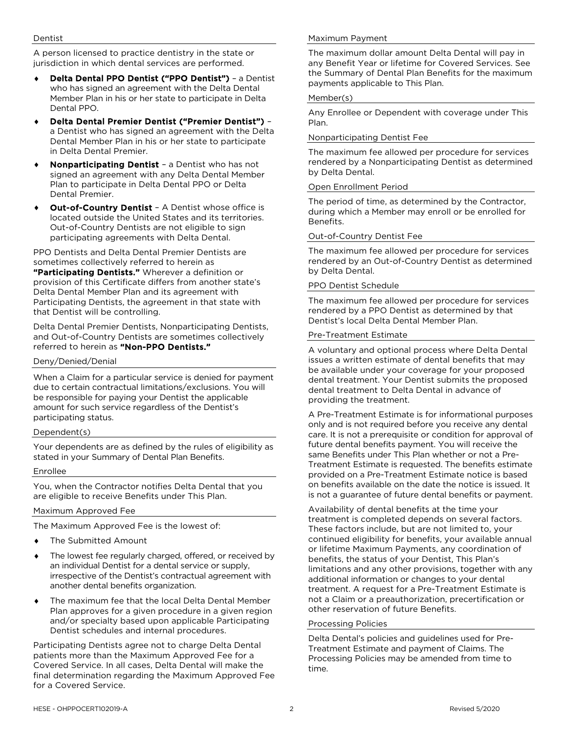A person licensed to practice dentistry in the state or jurisdiction in which dental services are performed.

- Delta Dental PPO Dentist ("PPO Dentist") a Dentist who has signed an agreement with the Delta Dental Member Plan in his or her state to participate in Delta Dental PPO.
- Delta Dental Premier Dentist ("Premier Dentist") a Dentist who has signed an agreement with the Delta Dental Member Plan in his or her state to participate in Delta Dental Premier.
- Nonparticipating Dentist a Dentist who has not signed an agreement with any Delta Dental Member Plan to participate in Delta Dental PPO or Delta Dental Premier.
- **Out-of-Country Dentist** A Dentist whose office is located outside the United States and its territories. Out-of-Country Dentists are not eligible to sign participating agreements with Delta Dental.

PPO Dentists and Delta Dental Premier Dentists are sometimes collectively referred to herein as

"Participating Dentists." Wherever a definition or provision of this Certificate differs from another state's Delta Dental Member Plan and its agreement with Participating Dentists, the agreement in that state with that Dentist will be controlling.

Delta Dental Premier Dentists, Nonparticipating Dentists, and Out-of-Country Dentists are sometimes collectively referred to herein as "Non-PPO Dentists."

#### Deny/Denied/Denial

When a Claim for a particular service is denied for payment due to certain contractual limitations/exclusions. You will be responsible for paying your Dentist the applicable amount for such service regardless of the Dentist's participating status.

## Dependent(s)

Your dependents are as defined by the rules of eligibility as stated in your Summary of Dental Plan Benefits.

#### Enrollee

You, when the Contractor notifies Delta Dental that you are eligible to receive Benefits under This Plan.

#### Maximum Approved Fee

The Maximum Approved Fee is the lowest of:

- The Submitted Amount
- The lowest fee regularly charged, offered, or received by an individual Dentist for a dental service or supply, irrespective of the Dentist's contractual agreement with another dental benefits organization.
- The maximum fee that the local Delta Dental Member Plan approves for a given procedure in a given region and/or specialty based upon applicable Participating Dentist schedules and internal procedures.

Participating Dentists agree not to charge Delta Dental patients more than the Maximum Approved Fee for a Covered Service. In all cases, Delta Dental will make the final determination regarding the Maximum Approved Fee for a Covered Service.

## Maximum Payment

The maximum dollar amount Delta Dental will pay in any Benefit Year or lifetime for Covered Services. See the Summary of Dental Plan Benefits for the maximum payments applicable to This Plan.

#### Member(s)

Any Enrollee or Dependent with coverage under This Plan.

#### Nonparticipating Dentist Fee

The maximum fee allowed per procedure for services rendered by a Nonparticipating Dentist as determined by Delta Dental.

#### Open Enrollment Period

The period of time, as determined by the Contractor, during which a Member may enroll or be enrolled for Benefits.

#### Out-of-Country Dentist Fee

The maximum fee allowed per procedure for services rendered by an Out-of-Country Dentist as determined by Delta Dental.

#### PPO Dentist Schedule

The maximum fee allowed per procedure for services rendered by a PPO Dentist as determined by that Dentist's local Delta Dental Member Plan.

#### Pre-Treatment Estimate

A voluntary and optional process where Delta Dental issues a written estimate of dental benefits that may be available under your coverage for your proposed dental treatment. Your Dentist submits the proposed dental treatment to Delta Dental in advance of providing the treatment.

A Pre-Treatment Estimate is for informational purposes only and is not required before you receive any dental care. It is not a prerequisite or condition for approval of future dental benefits payment. You will receive the same Benefits under This Plan whether or not a Pre-Treatment Estimate is requested. The benefits estimate provided on a Pre-Treatment Estimate notice is based on benefits available on the date the notice is issued. It is not a guarantee of future dental benefits or payment.

Availability of dental benefits at the time your treatment is completed depends on several factors. These factors include, but are not limited to, your continued eligibility for benefits, your available annual or lifetime Maximum Payments, any coordination of benefits, the status of your Dentist, This Plan's limitations and any other provisions, together with any additional information or changes to your dental treatment. A request for a Pre-Treatment Estimate is not a Claim or a preauthorization, precertification or other reservation of future Benefits.

#### Processing Policies

Delta Dental's policies and guidelines used for Pre-Treatment Estimate and payment of Claims. The Processing Policies may be amended from time to time.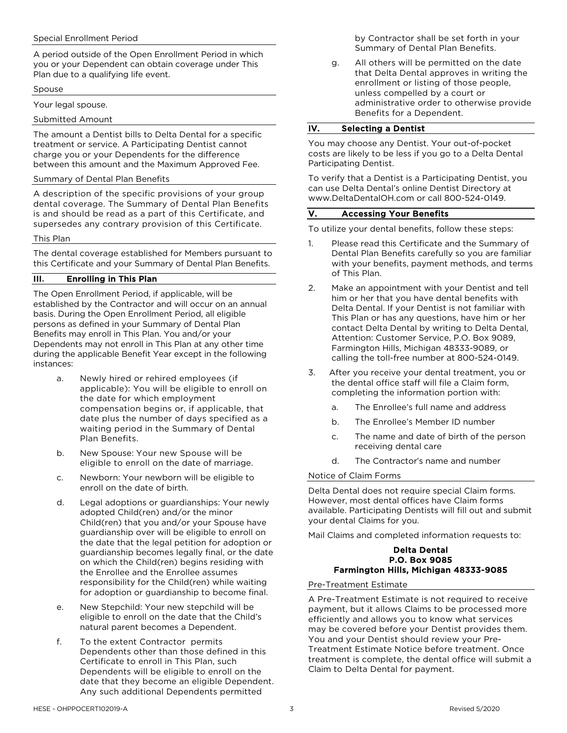#### Special Enrollment Period

A period outside of the Open Enrollment Period in which you or your Dependent can obtain coverage under This Plan due to a qualifying life event.

#### Spouse

Your legal spouse.

Submitted Amount

The amount a Dentist bills to Delta Dental for a specific treatment or service. A Participating Dentist cannot charge you or your Dependents for the difference between this amount and the Maximum Approved Fee.

#### Summary of Dental Plan Benefits

A description of the specific provisions of your group dental coverage. The Summary of Dental Plan Benefits is and should be read as a part of this Certificate, and supersedes any contrary provision of this Certificate.

#### This Plan

The dental coverage established for Members pursuant to this Certificate and your Summary of Dental Plan Benefits.

## III. Enrolling in This Plan

The Open Enrollment Period, if applicable, will be established by the Contractor and will occur on an annual basis. During the Open Enrollment Period, all eligible persons as defined in your Summary of Dental Plan Benefits may enroll in This Plan. You and/or your Dependents may not enroll in This Plan at any other time during the applicable Benefit Year except in the following instances:

- a. Newly hired or rehired employees (if applicable): You will be eligible to enroll on the date for which employment compensation begins or, if applicable, that date plus the number of days specified as a waiting period in the Summary of Dental Plan Benefits.
- b. New Spouse: Your new Spouse will be eligible to enroll on the date of marriage.
- c. Newborn: Your newborn will be eligible to enroll on the date of birth.
- d. Legal adoptions or guardianships: Your newly adopted Child(ren) and/or the minor Child(ren) that you and/or your Spouse have guardianship over will be eligible to enroll on the date that the legal petition for adoption or guardianship becomes legally final, or the date on which the Child(ren) begins residing with the Enrollee and the Enrollee assumes responsibility for the Child(ren) while waiting for adoption or guardianship to become final.
- e. New Stepchild: Your new stepchild will be eligible to enroll on the date that the Child's natural parent becomes a Dependent.
- f. To the extent Contractor permits Dependents other than those defined in this Certificate to enroll in This Plan, such Dependents will be eligible to enroll on the date that they become an eligible Dependent. Any such additional Dependents permitted

by Contractor shall be set forth in your Summary of Dental Plan Benefits.

g. All others will be permitted on the date that Delta Dental approves in writing the enrollment or listing of those people, unless compelled by a court or administrative order to otherwise provide Benefits for a Dependent.

#### IV. Selecting a Dentist

You may choose any Dentist. Your out-of-pocket costs are likely to be less if you go to a Delta Dental Participating Dentist.

To verify that a Dentist is a Participating Dentist, you can use Delta Dental's online Dentist Directory at www.DeltaDentalOH.com or call 800-524-0149.

#### V. Accessing Your Benefits

To utilize your dental benefits, follow these steps:

- 1. Please read this Certificate and the Summary of Dental Plan Benefits carefully so you are familiar with your benefits, payment methods, and terms of This Plan.
- 2. Make an appointment with your Dentist and tell him or her that you have dental benefits with Delta Dental. If your Dentist is not familiar with This Plan or has any questions, have him or her contact Delta Dental by writing to Delta Dental, Attention: Customer Service, P.O. Box 9089, Farmington Hills, Michigan 48333-9089, or calling the toll-free number at 800-524-0149.
- 3. After you receive your dental treatment, you or the dental office staff will file a Claim form, completing the information portion with:
	- a. The Enrollee's full name and address
	- b. The Enrollee's Member ID number
	- c. The name and date of birth of the person receiving dental care
	- d. The Contractor's name and number

#### Notice of Claim Forms

Delta Dental does not require special Claim forms. However, most dental offices have Claim forms available. Participating Dentists will fill out and submit your dental Claims for you.

Mail Claims and completed information requests to:

#### Delta Dental P.O. Box 9085 Farmington Hills, Michigan 48333-9085

Pre-Treatment Estimate

A Pre-Treatment Estimate is not required to receive payment, but it allows Claims to be processed more efficiently and allows you to know what services may be covered before your Dentist provides them. You and your Dentist should review your Pre-Treatment Estimate Notice before treatment. Once treatment is complete, the dental office will submit a Claim to Delta Dental for payment.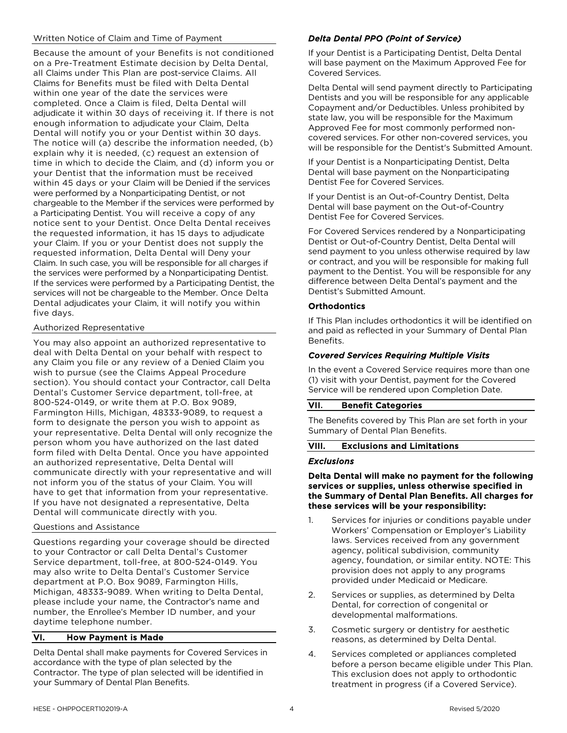## Written Notice of Claim and Time of Payment

Because the amount of your Benefits is not conditioned on a Pre-Treatment Estimate decision by Delta Dental, all Claims under This Plan are post-service Claims. All Claims for Benefits must be filed with Delta Dental within one year of the date the services were completed. Once a Claim is filed, Delta Dental will adjudicate it within 30 days of receiving it. If there is not enough information to adjudicate your Claim, Delta Dental will notify you or your Dentist within 30 days. The notice will (a) describe the information needed, (b) explain why it is needed, (c) request an extension of time in which to decide the Claim, and (d) inform you or your Dentist that the information must be received within 45 days or your Claim will be Denied if the services were performed by a Nonparticipating Dentist, or not chargeable to the Member if the services were performed by a Participating Dentist. You will receive a copy of any notice sent to your Dentist. Once Delta Dental receives the requested information, it has 15 days to adjudicate your Claim. If you or your Dentist does not supply the requested information, Delta Dental will Deny your Claim. In such case, you will be responsible for all charges if the services were performed by a Nonparticipating Dentist. If the services were performed by a Participating Dentist, the services will not be chargeable to the Member. Once Delta Dental adjudicates your Claim, it will notify you within five days.

#### Authorized Representative

You may also appoint an authorized representative to deal with Delta Dental on your behalf with respect to any Claim you file or any review of a Denied Claim you wish to pursue (see the Claims Appeal Procedure section). You should contact your Contractor, call Delta Dental's Customer Service department, toll-free, at 800-524-0149, or write them at P.O. Box 9089, Farmington Hills, Michigan, 48333-9089, to request a form to designate the person you wish to appoint as your representative. Delta Dental will only recognize the person whom you have authorized on the last dated form filed with Delta Dental. Once you have appointed an authorized representative, Delta Dental will communicate directly with your representative and will not inform you of the status of your Claim. You will have to get that information from your representative. If you have not designated a representative, Delta Dental will communicate directly with you.

#### Questions and Assistance

Questions regarding your coverage should be directed to your Contractor or call Delta Dental's Customer Service department, toll-free, at 800-524-0149. You may also write to Delta Dental's Customer Service department at P.O. Box 9089, Farmington Hills, Michigan, 48333-9089. When writing to Delta Dental, please include your name, the Contractor's name and number, the Enrollee's Member ID number, and your daytime telephone number.

## VI. How Payment is Made

Delta Dental shall make payments for Covered Services in accordance with the type of plan selected by the Contractor. The type of plan selected will be identified in your Summary of Dental Plan Benefits.

# *Delta Dental PPO (Point of Service)*

If your Dentist is a Participating Dentist, Delta Dental will base payment on the Maximum Approved Fee for Covered Services.

Delta Dental will send payment directly to Participating Dentists and you will be responsible for any applicable Copayment and/or Deductibles. Unless prohibited by state law, you will be responsible for the Maximum Approved Fee for most commonly performed noncovered services. For other non-covered services, you will be responsible for the Dentist's Submitted Amount.

If your Dentist is a Nonparticipating Dentist, Delta Dental will base payment on the Nonparticipating Dentist Fee for Covered Services.

If your Dentist is an Out-of-Country Dentist, Delta Dental will base payment on the Out-of-Country Dentist Fee for Covered Services.

For Covered Services rendered by a Nonparticipating Dentist or Out-of-Country Dentist, Delta Dental will send payment to you unless otherwise required by law or contract, and you will be responsible for making full payment to the Dentist. You will be responsible for any difference between Delta Dental's payment and the Dentist's Submitted Amount.

## **Orthodontics**

If This Plan includes orthodontics it will be identified on and paid as reflected in your Summary of Dental Plan Benefits.

#### *Covered Services Requiring Multiple Visits*

In the event a Covered Service requires more than one (1) visit with your Dentist, payment for the Covered Service will be rendered upon Completion Date.

#### VII. Benefit Categories

The Benefits covered by This Plan are set forth in your Summary of Dental Plan Benefits.

#### VIII. Exclusions and Limitations

#### *Exclusions*

#### Delta Dental will make no payment for the following services or supplies, unless otherwise specified in the Summary of Dental Plan Benefits. All charges for these services will be your responsibility:

- 1. Services for injuries or conditions payable under Workers' Compensation or Employer's Liability laws. Services received from any government agency, political subdivision, community agency, foundation, or similar entity. NOTE: This provision does not apply to any programs provided under Medicaid or Medicare.
- 2. Services or supplies, as determined by Delta Dental, for correction of congenital or developmental malformations.
- 3. Cosmetic surgery or dentistry for aesthetic reasons, as determined by Delta Dental.
- 4. Services completed or appliances completed before a person became eligible under This Plan. This exclusion does not apply to orthodontic treatment in progress (if a Covered Service).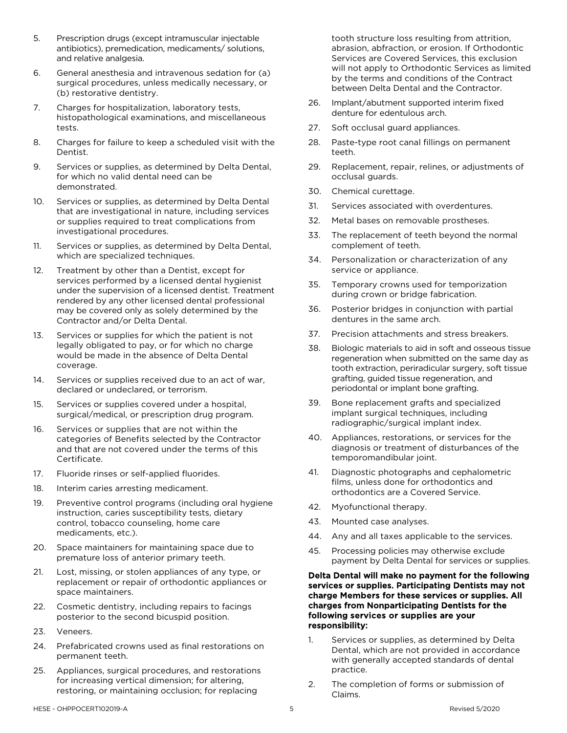- 5. Prescription drugs (except intramuscular injectable antibiotics), premedication, medicaments/ solutions, and relative analgesia.
- 6. General anesthesia and intravenous sedation for (a) surgical procedures, unless medically necessary, or (b) restorative dentistry.
- 7. Charges for hospitalization, laboratory tests, histopathological examinations, and miscellaneous tests.
- 8. Charges for failure to keep a scheduled visit with the Dentist.
- 9. Services or supplies, as determined by Delta Dental, for which no valid dental need can be demonstrated.
- 10. Services or supplies, as determined by Delta Dental that are investigational in nature, including services or supplies required to treat complications from investigational procedures.
- 11. Services or supplies, as determined by Delta Dental, which are specialized techniques.
- 12. Treatment by other than a Dentist, except for services performed by a licensed dental hygienist under the supervision of a licensed dentist. Treatment rendered by any other licensed dental professional may be covered only as solely determined by the Contractor and/or Delta Dental.
- 13. Services or supplies for which the patient is not legally obligated to pay, or for which no charge would be made in the absence of Delta Dental coverage.
- 14. Services or supplies received due to an act of war, declared or undeclared, or terrorism.
- 15. Services or supplies covered under a hospital, surgical/medical, or prescription drug program.
- 16. Services or supplies that are not within the categories of Benefits selected by the Contractor and that are not covered under the terms of this Certificate.
- 17. Fluoride rinses or self-applied fluorides.
- 18. Interim caries arresting medicament.
- 19. Preventive control programs (including oral hygiene instruction, caries susceptibility tests, dietary control, tobacco counseling, home care medicaments, etc.).
- 20. Space maintainers for maintaining space due to premature loss of anterior primary teeth.
- 21. Lost, missing, or stolen appliances of any type, or replacement or repair of orthodontic appliances or space maintainers.
- 22. Cosmetic dentistry, including repairs to facings posterior to the second bicuspid position.
- 23. Veneers.
- 24. Prefabricated crowns used as final restorations on permanent teeth.
- 25. Appliances, surgical procedures, and restorations for increasing vertical dimension; for altering, restoring, or maintaining occlusion; for replacing

tooth structure loss resulting from attrition, abrasion, abfraction, or erosion. If Orthodontic Services are Covered Services, this exclusion will not apply to Orthodontic Services as limited by the terms and conditions of the Contract between Delta Dental and the Contractor.

- 26. Implant/abutment supported interim fixed denture for edentulous arch.
- 27. Soft occlusal guard appliances.
- 28. Paste-type root canal fillings on permanent teeth.
- 29. Replacement, repair, relines, or adjustments of occlusal guards.
- 30. Chemical curettage.
- 31. Services associated with overdentures.
- 32. Metal bases on removable prostheses.
- 33. The replacement of teeth beyond the normal complement of teeth.
- 34. Personalization or characterization of any service or appliance.
- 35. Temporary crowns used for temporization during crown or bridge fabrication.
- 36. Posterior bridges in conjunction with partial dentures in the same arch.
- 37. Precision attachments and stress breakers.
- 38. Biologic materials to aid in soft and osseous tissue regeneration when submitted on the same day as tooth extraction, periradicular surgery, soft tissue grafting, guided tissue regeneration, and periodontal or implant bone grafting.
- 39. Bone replacement grafts and specialized implant surgical techniques, including radiographic/surgical implant index.
- 40. Appliances, restorations, or services for the diagnosis or treatment of disturbances of the temporomandibular joint.
- 41. Diagnostic photographs and cephalometric films, unless done for orthodontics and orthodontics are a Covered Service.
- 42. Myofunctional therapy.
- 43. Mounted case analyses.
- 44. Any and all taxes applicable to the services.
- 45. Processing policies may otherwise exclude payment by Delta Dental for services or supplies.

#### Delta Dental will make no payment for the following services or supplies. Participating Dentists may not charge Members for these services or supplies. All charges from Nonparticipating Dentists for the following services or supplies are your responsibility:

- 1. Services or supplies, as determined by Delta Dental, which are not provided in accordance with generally accepted standards of dental practice.
- 2. The completion of forms or submission of Claims.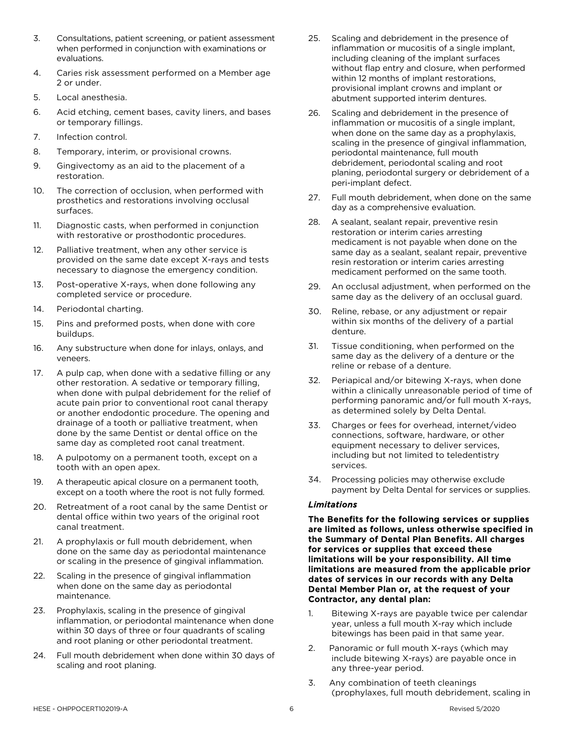- 3. Consultations, patient screening, or patient assessment when performed in conjunction with examinations or evaluations.
- 4. Caries risk assessment performed on a Member age 2 or under.
- 5. Local anesthesia.
- 6. Acid etching, cement bases, cavity liners, and bases or temporary fillings.
- 7. Infection control.
- 8. Temporary, interim, or provisional crowns.
- 9. Gingivectomy as an aid to the placement of a restoration.
- 10. The correction of occlusion, when performed with prosthetics and restorations involving occlusal surfaces.
- 11. Diagnostic casts, when performed in conjunction with restorative or prosthodontic procedures.
- 12. Palliative treatment, when any other service is provided on the same date except X-rays and tests necessary to diagnose the emergency condition.
- 13. Post-operative X-rays, when done following any completed service or procedure.
- 14. Periodontal charting.
- 15. Pins and preformed posts, when done with core buildups.
- 16. Any substructure when done for inlays, onlays, and veneers.
- 17. A pulp cap, when done with a sedative filling or any other restoration. A sedative or temporary filling, when done with pulpal debridement for the relief of acute pain prior to conventional root canal therapy or another endodontic procedure. The opening and drainage of a tooth or palliative treatment, when done by the same Dentist or dental office on the same day as completed root canal treatment.
- 18. A pulpotomy on a permanent tooth, except on a tooth with an open apex.
- 19. A therapeutic apical closure on a permanent tooth, except on a tooth where the root is not fully formed.
- 20. Retreatment of a root canal by the same Dentist or dental office within two years of the original root canal treatment.
- 21. A prophylaxis or full mouth debridement, when done on the same day as periodontal maintenance or scaling in the presence of gingival inflammation.
- 22. Scaling in the presence of gingival inflammation when done on the same day as periodontal maintenance.
- 23. Prophylaxis, scaling in the presence of gingival inflammation, or periodontal maintenance when done within 30 days of three or four quadrants of scaling and root planing or other periodontal treatment.
- 24. Full mouth debridement when done within 30 days of scaling and root planing.
- 25. Scaling and debridement in the presence of inflammation or mucositis of a single implant, including cleaning of the implant surfaces without flap entry and closure, when performed within 12 months of implant restorations, provisional implant crowns and implant or abutment supported interim dentures.
- 26. Scaling and debridement in the presence of inflammation or mucositis of a single implant, when done on the same day as a prophylaxis, scaling in the presence of gingival inflammation, periodontal maintenance, full mouth debridement, periodontal scaling and root planing, periodontal surgery or debridement of a peri-implant defect.
- 27. Full mouth debridement, when done on the same day as a comprehensive evaluation.
- 28. A sealant, sealant repair, preventive resin restoration or interim caries arresting medicament is not payable when done on the same day as a sealant, sealant repair, preventive resin restoration or interim caries arresting medicament performed on the same tooth.
- 29. An occlusal adjustment, when performed on the same day as the delivery of an occlusal guard.
- 30. Reline, rebase, or any adjustment or repair within six months of the delivery of a partial denture.
- 31. Tissue conditioning, when performed on the same day as the delivery of a denture or the reline or rebase of a denture.
- 32. Periapical and/or bitewing X-rays, when done within a clinically unreasonable period of time of performing panoramic and/or full mouth X-rays, as determined solely by Delta Dental.
- 33. Charges or fees for overhead, internet/video connections, software, hardware, or other equipment necessary to deliver services, including but not limited to teledentistry services.
- 34. Processing policies may otherwise exclude payment by Delta Dental for services or supplies.

## *Limitations*

The Benefits for the following services or supplies are limited as follows, unless otherwise specified in the Summary of Dental Plan Benefits. All charges for services or supplies that exceed these limitations will be your responsibility. All time limitations are measured from the applicable prior dates of services in our records with any Delta Dental Member Plan or, at the request of your Contractor, any dental plan:

- 1. Bitewing X-rays are payable twice per calendar year, unless a full mouth X-ray which include bitewings has been paid in that same year.
- 2. Panoramic or full mouth X-rays (which may include bitewing X-rays) are payable once in any three-year period.
- 3. Any combination of teeth cleanings (prophylaxes, full mouth debridement, scaling in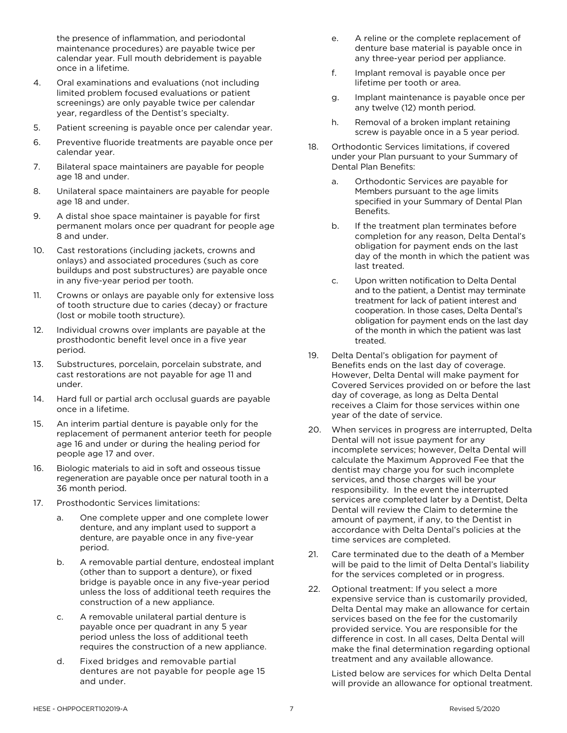the presence of inflammation, and periodontal maintenance procedures) are payable twice per calendar year. Full mouth debridement is payable once in a lifetime.

- 4. Oral examinations and evaluations (not including limited problem focused evaluations or patient screenings) are only payable twice per calendar year, regardless of the Dentist's specialty.
- 5. Patient screening is payable once per calendar year.
- 6. Preventive fluoride treatments are payable once per calendar year.
- 7. Bilateral space maintainers are payable for people age 18 and under.
- 8. Unilateral space maintainers are payable for people age 18 and under.
- 9. A distal shoe space maintainer is payable for first permanent molars once per quadrant for people age 8 and under.
- 10. Cast restorations (including jackets, crowns and onlays) and associated procedures (such as core buildups and post substructures) are payable once in any five-year period per tooth.
- 11. Crowns or onlays are payable only for extensive loss of tooth structure due to caries (decay) or fracture (lost or mobile tooth structure).
- 12. Individual crowns over implants are payable at the prosthodontic benefit level once in a five year period.
- 13. Substructures, porcelain, porcelain substrate, and cast restorations are not payable for age 11 and under.
- 14. Hard full or partial arch occlusal guards are payable once in a lifetime.
- 15. An interim partial denture is payable only for the replacement of permanent anterior teeth for people age 16 and under or during the healing period for people age 17 and over.
- 16. Biologic materials to aid in soft and osseous tissue regeneration are payable once per natural tooth in a 36 month period.
- 17. Prosthodontic Services limitations:
	- a. One complete upper and one complete lower denture, and any implant used to support a denture, are payable once in any five-year period.
	- b. A removable partial denture, endosteal implant (other than to support a denture), or fixed bridge is payable once in any five-year period unless the loss of additional teeth requires the construction of a new appliance.
	- c. A removable unilateral partial denture is payable once per quadrant in any 5 year period unless the loss of additional teeth requires the construction of a new appliance.
	- d. Fixed bridges and removable partial dentures are not payable for people age 15 and under.
- e. A reline or the complete replacement of denture base material is payable once in any three-year period per appliance.
- f. Implant removal is payable once per lifetime per tooth or area.
- g. Implant maintenance is payable once per any twelve (12) month period.
- h. Removal of a broken implant retaining screw is payable once in a 5 year period.
- 18. Orthodontic Services limitations, if covered under your Plan pursuant to your Summary of Dental Plan Benefits:
	- a. Orthodontic Services are payable for Members pursuant to the age limits specified in your Summary of Dental Plan Benefits.
	- b. If the treatment plan terminates before completion for any reason, Delta Dental's obligation for payment ends on the last day of the month in which the patient was last treated.
	- c. Upon written notification to Delta Dental and to the patient, a Dentist may terminate treatment for lack of patient interest and cooperation. In those cases, Delta Dental's obligation for payment ends on the last day of the month in which the patient was last treated.
- 19. Delta Dental's obligation for payment of Benefits ends on the last day of coverage. However, Delta Dental will make payment for Covered Services provided on or before the last day of coverage, as long as Delta Dental receives a Claim for those services within one year of the date of service.
- 20. When services in progress are interrupted, Delta Dental will not issue payment for any incomplete services; however, Delta Dental will calculate the Maximum Approved Fee that the dentist may charge you for such incomplete services, and those charges will be your responsibility. In the event the interrupted services are completed later by a Dentist, Delta Dental will review the Claim to determine the amount of payment, if any, to the Dentist in accordance with Delta Dental's policies at the time services are completed.
- 21. Care terminated due to the death of a Member will be paid to the limit of Delta Dental's liability for the services completed or in progress.
- 22. Optional treatment: If you select a more expensive service than is customarily provided, Delta Dental may make an allowance for certain services based on the fee for the customarily provided service. You are responsible for the difference in cost. In all cases, Delta Dental will make the final determination regarding optional treatment and any available allowance.

Listed below are services for which Delta Dental will provide an allowance for optional treatment.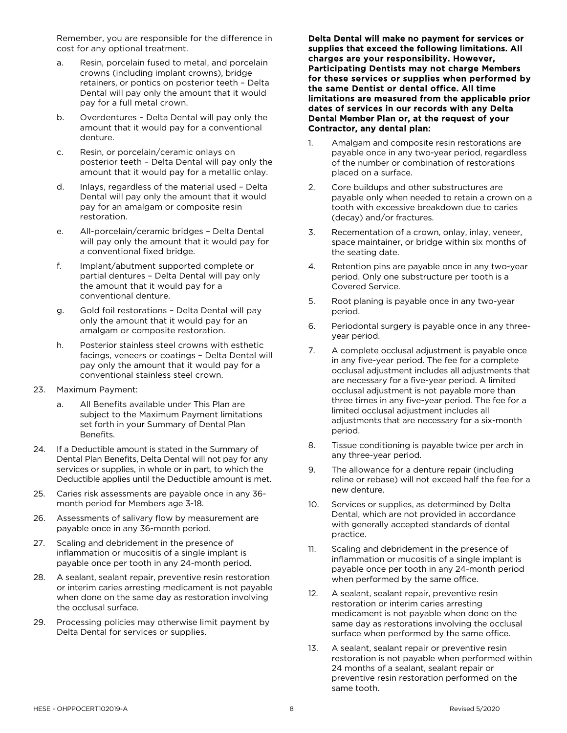Remember, you are responsible for the difference in cost for any optional treatment.

- a. Resin, porcelain fused to metal, and porcelain crowns (including implant crowns), bridge retainers, or pontics on posterior teeth – Delta Dental will pay only the amount that it would pay for a full metal crown.
- b. Overdentures Delta Dental will pay only the amount that it would pay for a conventional denture.
- c. Resin, or porcelain/ceramic onlays on posterior teeth – Delta Dental will pay only the amount that it would pay for a metallic onlay.
- d. Inlays, regardless of the material used Delta Dental will pay only the amount that it would pay for an amalgam or composite resin restoration.
- e. All-porcelain/ceramic bridges Delta Dental will pay only the amount that it would pay for a conventional fixed bridge.
- f. Implant/abutment supported complete or partial dentures – Delta Dental will pay only the amount that it would pay for a conventional denture.
- g. Gold foil restorations Delta Dental will pay only the amount that it would pay for an amalgam or composite restoration.
- h. Posterior stainless steel crowns with esthetic facings, veneers or coatings – Delta Dental will pay only the amount that it would pay for a conventional stainless steel crown.
- 23. Maximum Payment:
	- a. All Benefits available under This Plan are subject to the Maximum Payment limitations set forth in your Summary of Dental Plan Benefits.
- 24. If a Deductible amount is stated in the Summary of Dental Plan Benefits, Delta Dental will not pay for any services or supplies, in whole or in part, to which the Deductible applies until the Deductible amount is met.
- 25. Caries risk assessments are payable once in any 36 month period for Members age 3-18.
- 26. Assessments of salivary flow by measurement are payable once in any 36-month period.
- 27. Scaling and debridement in the presence of inflammation or mucositis of a single implant is payable once per tooth in any 24-month period.
- 28. A sealant, sealant repair, preventive resin restoration or interim caries arresting medicament is not payable when done on the same day as restoration involving the occlusal surface.
- 29. Processing policies may otherwise limit payment by Delta Dental for services or supplies.

Delta Dental will make no payment for services or supplies that exceed the following limitations. All charges are your responsibility. However, Participating Dentists may not charge Members for these services or supplies when performed by the same Dentist or dental office. All time limitations are measured from the applicable prior dates of services in our records with any Delta Dental Member Plan or, at the request of your Contractor, any dental plan:

- 1. Amalgam and composite resin restorations are payable once in any two-year period, regardless of the number or combination of restorations placed on a surface.
- 2. Core buildups and other substructures are payable only when needed to retain a crown on a tooth with excessive breakdown due to caries (decay) and/or fractures.
- 3. Recementation of a crown, onlay, inlay, veneer, space maintainer, or bridge within six months of the seating date.
- 4. Retention pins are payable once in any two-year period. Only one substructure per tooth is a Covered Service.
- 5. Root planing is payable once in any two-year period.
- 6. Periodontal surgery is payable once in any threeyear period.
- 7. A complete occlusal adjustment is payable once in any five-year period. The fee for a complete occlusal adjustment includes all adjustments that are necessary for a five-year period. A limited occlusal adjustment is not payable more than three times in any five-year period. The fee for a limited occlusal adjustment includes all adjustments that are necessary for a six-month period.
- 8. Tissue conditioning is payable twice per arch in any three-year period.
- 9. The allowance for a denture repair (including reline or rebase) will not exceed half the fee for a new denture.
- 10. Services or supplies, as determined by Delta Dental, which are not provided in accordance with generally accepted standards of dental practice.
- 11. Scaling and debridement in the presence of inflammation or mucositis of a single implant is payable once per tooth in any 24-month period when performed by the same office.
- 12. A sealant, sealant repair, preventive resin restoration or interim caries arresting medicament is not payable when done on the same day as restorations involving the occlusal surface when performed by the same office.
- 13. A sealant, sealant repair or preventive resin restoration is not payable when performed within 24 months of a sealant, sealant repair or preventive resin restoration performed on the same tooth.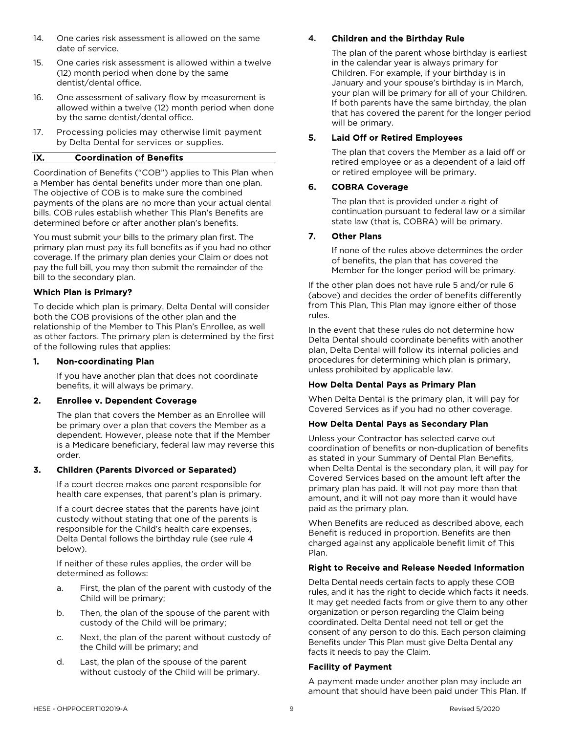- 14. One caries risk assessment is allowed on the same date of service.
- 15. One caries risk assessment is allowed within a twelve (12) month period when done by the same dentist/dental office.
- 16. One assessment of salivary flow by measurement is allowed within a twelve (12) month period when done by the same dentist/dental office.
- 17. Processing policies may otherwise limit payment by Delta Dental for services or supplies.

# IX. Coordination of Benefits

Coordination of Benefits ("COB") applies to This Plan when a Member has dental benefits under more than one plan. The objective of COB is to make sure the combined payments of the plans are no more than your actual dental bills. COB rules establish whether This Plan's Benefits are determined before or after another plan's benefits.

You must submit your bills to the primary plan first. The primary plan must pay its full benefits as if you had no other coverage. If the primary plan denies your Claim or does not pay the full bill, you may then submit the remainder of the bill to the secondary plan.

# Which Plan is Primary?

To decide which plan is primary, Delta Dental will consider both the COB provisions of the other plan and the relationship of the Member to This Plan's Enrollee, as well as other factors. The primary plan is determined by the first of the following rules that applies:

## 1. Non-coordinating Plan

If you have another plan that does not coordinate benefits, it will always be primary.

## 2. Enrollee v. Dependent Coverage

The plan that covers the Member as an Enrollee will be primary over a plan that covers the Member as a dependent. However, please note that if the Member is a Medicare beneficiary, federal law may reverse this order.

## 3. Children (Parents Divorced or Separated)

If a court decree makes one parent responsible for health care expenses, that parent's plan is primary.

If a court decree states that the parents have joint custody without stating that one of the parents is responsible for the Child's health care expenses, Delta Dental follows the birthday rule (see rule 4 below).

If neither of these rules applies, the order will be determined as follows:

- a. First, the plan of the parent with custody of the Child will be primary;
- b. Then, the plan of the spouse of the parent with custody of the Child will be primary;
- c. Next, the plan of the parent without custody of the Child will be primary; and
- d. Last, the plan of the spouse of the parent without custody of the Child will be primary.

# 4. Children and the Birthday Rule

The plan of the parent whose birthday is earliest in the calendar year is always primary for Children. For example, if your birthday is in January and your spouse's birthday is in March, your plan will be primary for all of your Children. If both parents have the same birthday, the plan that has covered the parent for the longer period will be primary.

# 5. Laid Off or Retired Employees

The plan that covers the Member as a laid off or retired employee or as a dependent of a laid off or retired employee will be primary.

#### 6. COBRA Coverage

The plan that is provided under a right of continuation pursuant to federal law or a similar state law (that is, COBRA) will be primary.

## 7. Other Plans

If none of the rules above determines the order of benefits, the plan that has covered the Member for the longer period will be primary.

If the other plan does not have rule 5 and/or rule 6 (above) and decides the order of benefits differently from This Plan, This Plan may ignore either of those rules.

In the event that these rules do not determine how Delta Dental should coordinate benefits with another plan, Delta Dental will follow its internal policies and procedures for determining which plan is primary, unless prohibited by applicable law.

#### How Delta Dental Pays as Primary Plan

When Delta Dental is the primary plan, it will pay for Covered Services as if you had no other coverage.

#### How Delta Dental Pays as Secondary Plan

Unless your Contractor has selected carve out coordination of benefits or non-duplication of benefits as stated in your Summary of Dental Plan Benefits, when Delta Dental is the secondary plan, it will pay for Covered Services based on the amount left after the primary plan has paid. It will not pay more than that amount, and it will not pay more than it would have paid as the primary plan.

When Benefits are reduced as described above, each Benefit is reduced in proportion. Benefits are then charged against any applicable benefit limit of This Plan.

#### Right to Receive and Release Needed Information

Delta Dental needs certain facts to apply these COB rules, and it has the right to decide which facts it needs. It may get needed facts from or give them to any other organization or person regarding the Claim being coordinated. Delta Dental need not tell or get the consent of any person to do this. Each person claiming Benefits under This Plan must give Delta Dental any facts it needs to pay the Claim.

#### Facility of Payment

A payment made under another plan may include an amount that should have been paid under This Plan. If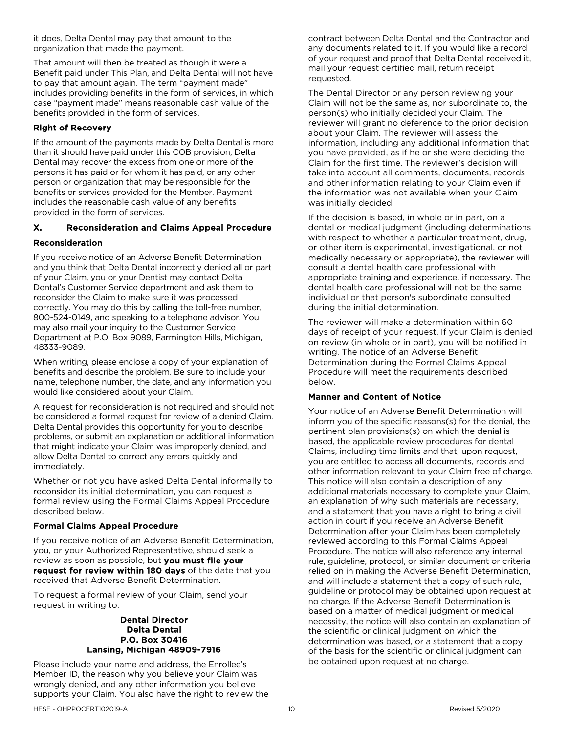it does, Delta Dental may pay that amount to the organization that made the payment.

That amount will then be treated as though it were a Benefit paid under This Plan, and Delta Dental will not have to pay that amount again. The term "payment made" includes providing benefits in the form of services, in which case "payment made" means reasonable cash value of the benefits provided in the form of services.

# Right of Recovery

If the amount of the payments made by Delta Dental is more than it should have paid under this COB provision, Delta Dental may recover the excess from one or more of the persons it has paid or for whom it has paid, or any other person or organization that may be responsible for the benefits or services provided for the Member. Payment includes the reasonable cash value of any benefits provided in the form of services.

# X. Reconsideration and Claims Appeal Procedure

# Reconsideration

If you receive notice of an Adverse Benefit Determination and you think that Delta Dental incorrectly denied all or part of your Claim, you or your Dentist may contact Delta Dental's Customer Service department and ask them to reconsider the Claim to make sure it was processed correctly. You may do this by calling the toll-free number, 800-524-0149, and speaking to a telephone advisor. You may also mail your inquiry to the Customer Service Department at P.O. Box 9089, Farmington Hills, Michigan, 48333-9089.

When writing, please enclose a copy of your explanation of benefits and describe the problem. Be sure to include your name, telephone number, the date, and any information you would like considered about your Claim.

A request for reconsideration is not required and should not be considered a formal request for review of a denied Claim. Delta Dental provides this opportunity for you to describe problems, or submit an explanation or additional information that might indicate your Claim was improperly denied, and allow Delta Dental to correct any errors quickly and immediately.

Whether or not you have asked Delta Dental informally to reconsider its initial determination, you can request a formal review using the Formal Claims Appeal Procedure described below.

## Formal Claims Appeal Procedure

If you receive notice of an Adverse Benefit Determination, you, or your Authorized Representative, should seek a review as soon as possible, but you must file your request for review within 180 days of the date that you received that Adverse Benefit Determination.

To request a formal review of your Claim, send your request in writing to:

#### Dental Director Delta Dental P.O. Box 30416 Lansing, Michigan 48909-7916

Please include your name and address, the Enrollee's Member ID, the reason why you believe your Claim was wrongly denied, and any other information you believe supports your Claim. You also have the right to review the contract between Delta Dental and the Contractor and any documents related to it. If you would like a record of your request and proof that Delta Dental received it, mail your request certified mail, return receipt requested.

The Dental Director or any person reviewing your Claim will not be the same as, nor subordinate to, the person(s) who initially decided your Claim. The reviewer will grant no deference to the prior decision about your Claim. The reviewer will assess the information, including any additional information that you have provided, as if he or she were deciding the Claim for the first time. The reviewer's decision will take into account all comments, documents, records and other information relating to your Claim even if the information was not available when your Claim was initially decided.

If the decision is based, in whole or in part, on a dental or medical judgment (including determinations with respect to whether a particular treatment, drug, or other item is experimental, investigational, or not medically necessary or appropriate), the reviewer will consult a dental health care professional with appropriate training and experience, if necessary. The dental health care professional will not be the same individual or that person's subordinate consulted during the initial determination.

The reviewer will make a determination within 60 days of receipt of your request. If your Claim is denied on review (in whole or in part), you will be notified in writing. The notice of an Adverse Benefit Determination during the Formal Claims Appeal Procedure will meet the requirements described below.

## Manner and Content of Notice

Your notice of an Adverse Benefit Determination will inform you of the specific reasons(s) for the denial, the pertinent plan provisions(s) on which the denial is based, the applicable review procedures for dental Claims, including time limits and that, upon request, you are entitled to access all documents, records and other information relevant to your Claim free of charge. This notice will also contain a description of any additional materials necessary to complete your Claim, an explanation of why such materials are necessary, and a statement that you have a right to bring a civil action in court if you receive an Adverse Benefit Determination after your Claim has been completely reviewed according to this Formal Claims Appeal Procedure. The notice will also reference any internal rule, guideline, protocol, or similar document or criteria relied on in making the Adverse Benefit Determination, and will include a statement that a copy of such rule, guideline or protocol may be obtained upon request at no charge. If the Adverse Benefit Determination is based on a matter of medical judgment or medical necessity, the notice will also contain an explanation of the scientific or clinical judgment on which the determination was based, or a statement that a copy of the basis for the scientific or clinical judgment can be obtained upon request at no charge.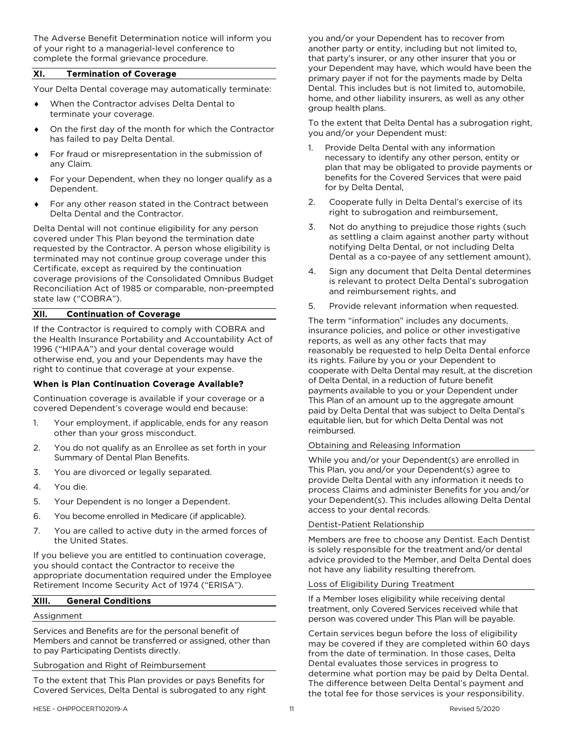The Adverse Benefit Determination notice will inform you of your right to a managerial-level conference to complete the formal grievance procedure.

#### XI. Termination of Coverage

Your Delta Dental coverage may automatically terminate:

- When the Contractor advises Delta Dental to terminate your coverage.
- On the first day of the month for which the Contractor has failed to pay Delta Dental.
- For fraud or misrepresentation in the submission of any Claim.
- For your Dependent, when they no longer qualify as a Dependent.
- For any other reason stated in the Contract between Delta Dental and the Contractor.

Delta Dental will not continue eligibility for any person covered under This Plan beyond the termination date requested by the Contractor. A person whose eligibility is terminated may not continue group coverage under this Certificate, except as required by the continuation coverage provisions of the Consolidated Omnibus Budget Reconciliation Act of 1985 or comparable, non-preempted state law ("COBRA").

## XII. Continuation of Coverage

If the Contractor is required to comply with COBRA and the Health Insurance Portability and Accountability Act of 1996 ("HIPAA") and your dental coverage would otherwise end, you and your Dependents may have the right to continue that coverage at your expense.

## When is Plan Continuation Coverage Available?

Continuation coverage is available if your coverage or a covered Dependent's coverage would end because:

- 1. Your employment, if applicable, ends for any reason other than your gross misconduct.
- 2. You do not qualify as an Enrollee as set forth in your Summary of Dental Plan Benefits.
- 3. You are divorced or legally separated.
- 4. You die.
- 5. Your Dependent is no longer a Dependent.
- 6. You become enrolled in Medicare (if applicable).
- 7. You are called to active duty in the armed forces of the United States.

If you believe you are entitled to continuation coverage, you should contact the Contractor to receive the appropriate documentation required under the Employee Retirement Income Security Act of 1974 ("ERISA").

# XIII. General Conditions

#### Assignment

Services and Benefits are for the personal benefit of Members and cannot be transferred or assigned, other than to pay Participating Dentists directly.

#### Subrogation and Right of Reimbursement

To the extent that This Plan provides or pays Benefits for Covered Services, Delta Dental is subrogated to any right you and/or your Dependent has to recover from another party or entity, including but not limited to, that party's insurer, or any other insurer that you or your Dependent may have, which would have been the primary payer if not for the payments made by Delta Dental. This includes but is not limited to, automobile, home, and other liability insurers, as well as any other group health plans.

To the extent that Delta Dental has a subrogation right, you and/or your Dependent must:

- 1. Provide Delta Dental with any information necessary to identify any other person, entity or plan that may be obligated to provide payments or benefits for the Covered Services that were paid for by Delta Dental,
- 2. Cooperate fully in Delta Dental's exercise of its right to subrogation and reimbursement,
- 3. Not do anything to prejudice those rights (such as settling a claim against another party without notifying Delta Dental, or not including Delta Dental as a co-payee of any settlement amount),
- 4. Sign any document that Delta Dental determines is relevant to protect Delta Dental's subrogation and reimbursement rights, and
- 5. Provide relevant information when requested.

The term "information" includes any documents, insurance policies, and police or other investigative reports, as well as any other facts that may reasonably be requested to help Delta Dental enforce its rights. Failure by you or your Dependent to cooperate with Delta Dental may result, at the discretion of Delta Dental, in a reduction of future benefit payments available to you or your Dependent under This Plan of an amount up to the aggregate amount paid by Delta Dental that was subject to Delta Dental's equitable lien, but for which Delta Dental was not reimbursed.

#### Obtaining and Releasing Information

While you and/or your Dependent(s) are enrolled in This Plan, you and/or your Dependent(s) agree to provide Delta Dental with any information it needs to process Claims and administer Benefits for you and/or your Dependent(s). This includes allowing Delta Dental access to your dental records.

#### Dentist-Patient Relationship

Members are free to choose any Dentist. Each Dentist is solely responsible for the treatment and/or dental advice provided to the Member, and Delta Dental does not have any liability resulting therefrom.

#### Loss of Eligibility During Treatment

If a Member loses eligibility while receiving dental treatment, only Covered Services received while that person was covered under This Plan will be payable.

Certain services begun before the loss of eligibility may be covered if they are completed within 60 days from the date of termination. In those cases, Delta Dental evaluates those services in progress to determine what portion may be paid by Delta Dental. The difference between Delta Dental's payment and the total fee for those services is your responsibility.